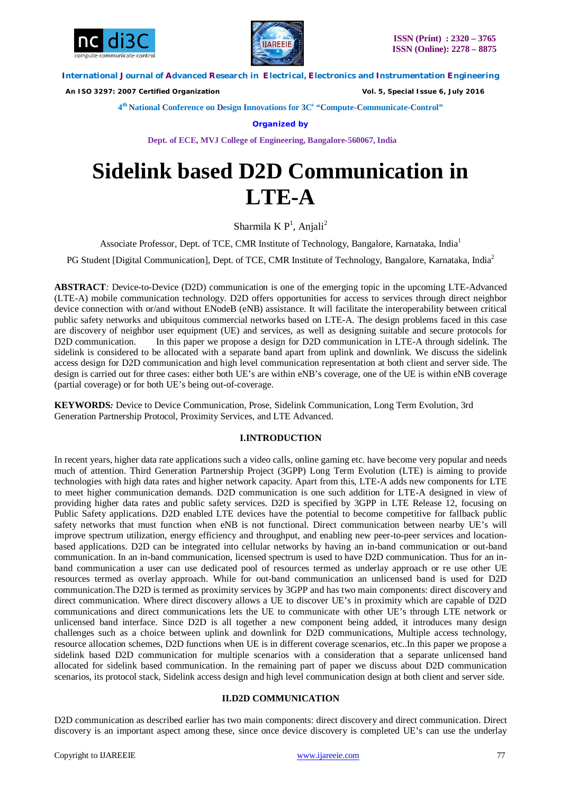



 *An ISO 3297: 2007 Certified Organization Vol. 5, Special Issue 6, July 2016*

**4 th National Conference on Design Innovations for 3C s "Compute-Communicate-Control"** 

**Organized by**

**Dept. of ECE, MVJ College of Engineering, Bangalore-560067, India**

# **Sidelink based D2D Communication in LTE-A**

Sharmila K $\mathsf{P}^1$ , Anjali<sup>2</sup>

Associate Professor, Dept. of TCE, CMR Institute of Technology, Bangalore, Karnataka, India<sup>1</sup>

PG Student [Digital Communication], Dept. of TCE, CMR Institute of Technology, Bangalore, Karnataka, India<sup>2</sup>

**ABSTRACT***:* Device-to-Device (D2D) communication is one of the emerging topic in the upcoming LTE-Advanced (LTE-A) mobile communication technology. D2D offers opportunities for access to services through direct neighbor device connection with or/and without ENodeB (eNB) assistance. It will facilitate the interoperability between critical public safety networks and ubiquitous commercial networks based on LTE-A. The design problems faced in this case are discovery of neighbor user equipment (UE) and services, as well as designing suitable and secure protocols for D2D communication. In this paper we propose a design for D2D communication in LTE-A through sidelink. The sidelink is considered to be allocated with a separate band apart from uplink and downlink. We discuss the sidelink access design for D2D communication and high level communication representation at both client and server side. The design is carried out for three cases: either both UE's are within eNB's coverage, one of the UE is within eNB coverage (partial coverage) or for both UE's being out-of-coverage.

**KEYWORDS***:* Device to Device Communication, Prose, Sidelink Communication, Long Term Evolution, 3rd Generation Partnership Protocol, Proximity Services, and LTE Advanced.

# **I.INTRODUCTION**

In recent years, higher data rate applications such a video calls, online gaming etc. have become very popular and needs much of attention. Third Generation Partnership Project (3GPP) Long Term Evolution (LTE) is aiming to provide technologies with high data rates and higher network capacity. Apart from this, LTE-A adds new components for LTE to meet higher communication demands. D2D communication is one such addition for LTE-A designed in view of providing higher data rates and public safety services. D2D is specified by 3GPP in LTE Release 12, focusing on Public Safety applications. D2D enabled LTE devices have the potential to become competitive for fallback public safety networks that must function when eNB is not functional. Direct communication between nearby UE's will improve spectrum utilization, energy efficiency and throughput, and enabling new peer-to-peer services and locationbased applications. D2D can be integrated into cellular networks by having an in-band communication or out-band communication. In an in-band communication, licensed spectrum is used to have D2D communication. Thus for an inband communication a user can use dedicated pool of resources termed as underlay approach or re use other UE resources termed as overlay approach. While for out-band communication an unlicensed band is used for D2D communication.The D2D is termed as proximity services by 3GPP and has two main components: direct discovery and direct communication. Where direct discovery allows a UE to discover UE's in proximity which are capable of D2D communications and direct communications lets the UE to communicate with other UE's through LTE network or unlicensed band interface. Since D2D is all together a new component being added, it introduces many design challenges such as a choice between uplink and downlink for D2D communications, Multiple access technology, resource allocation schemes, D2D functions when UE is in different coverage scenarios, etc..In this paper we propose a sidelink based D2D communication for multiple scenarios with a consideration that a separate unlicensed band allocated for sidelink based communication. In the remaining part of paper we discuss about D2D communication scenarios, its protocol stack, Sidelink access design and high level communication design at both client and server side.

# **II.D2D COMMUNICATION**

D2D communication as described earlier has two main components: direct discovery and direct communication. Direct discovery is an important aspect among these, since once device discovery is completed UE's can use the underlay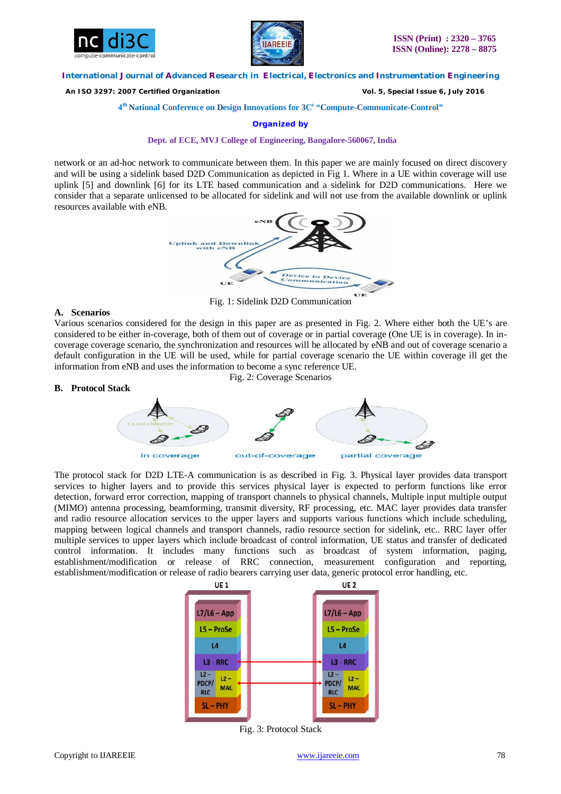



 *An ISO 3297: 2007 Certified Organization Vol. 5, Special Issue 6, July 2016*

**4 th National Conference on Design Innovations for 3C s "Compute-Communicate-Control"** 

**Organized by**

**Dept. of ECE, MVJ College of Engineering, Bangalore-560067, India**

network or an ad-hoc network to communicate between them. In this paper we are mainly focused on direct discovery and will be using a sidelink based D2D Communication as depicted in Fig 1. Where in a UE within coverage will use uplink [5] and downlink [6] for its LTE based communication and a sidelink for D2D communications. Here we consider that a separate unlicensed to be allocated for sidelink and will not use from the available downlink or uplink resources available with eNB.



Fig. 1: Sidelink D2D Communication

# **A. Scenarios**

Various scenarios considered for the design in this paper are as presented in Fig. 2. Where either both the UE's are considered to be either in-coverage, both of them out of coverage or in partial coverage (One UE is in coverage). In incoverage coverage scenario, the synchronization and resources will be allocated by eNB and out of coverage scenario a default configuration in the UE will be used, while for partial coverage scenario the UE within coverage ill get the information from eNB and uses the information to become a sync reference UE. Fig. 2: Coverage Scenarios





The protocol stack for D2D LTE-A communication is as described in Fig. 3. Physical layer provides data transport services to higher layers and to provide this services physical layer is expected to perform functions like error detection, forward error correction, mapping of transport channels to physical channels, Multiple input multiple output (MIMO) antenna processing, beamforming, transmit diversity, RF processing, etc. MAC layer provides data transfer and radio resource allocation services to the upper layers and supports various functions which include scheduling, mapping between logical channels and transport channels, radio resource section for sidelink, etc.. RRC layer offer multiple services to upper layers which include broadcast of control information, UE status and transfer of dedicated control information. It includes many functions such as broadcast of system information, paging, establishment/modification or release of RRC connection, measurement configuration and reporting, establishment/modification or release of radio bearers carrying user data, generic protocol error handling, etc.



Fig. 3: Protocol Stack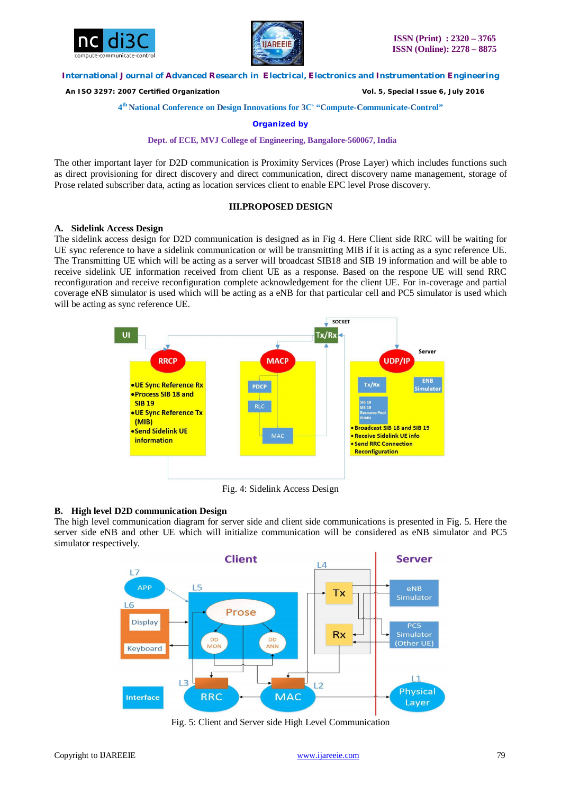



 *An ISO 3297: 2007 Certified Organization Vol. 5, Special Issue 6, July 2016*

## **4 th National Conference on Design Innovations for 3C s "Compute-Communicate-Control"**

**Organized by**

#### **Dept. of ECE, MVJ College of Engineering, Bangalore-560067, India**

The other important layer for D2D communication is Proximity Services (Prose Layer) which includes functions such as direct provisioning for direct discovery and direct communication, direct discovery name management, storage of Prose related subscriber data, acting as location services client to enable EPC level Prose discovery.

# **III.PROPOSED DESIGN**

### **A. Sidelink Access Design**

The sidelink access design for D2D communication is designed as in Fig 4. Here Client side RRC will be waiting for UE sync reference to have a sidelink communication or will be transmitting MIB if it is acting as a sync reference UE. The Transmitting UE which will be acting as a server will broadcast SIB18 and SIB 19 information and will be able to receive sidelink UE information received from client UE as a response. Based on the respone UE will send RRC reconfiguration and receive reconfiguration complete acknowledgement for the client UE. For in-coverage and partial coverage eNB simulator is used which will be acting as a eNB for that particular cell and PC5 simulator is used which will be acting as sync reference UE.



Fig. 4: Sidelink Access Design

### **B. High level D2D communication Design**

The high level communication diagram for server side and client side communications is presented in Fig. 5. Here the server side eNB and other UE which will initialize communication will be considered as eNB simulator and PC5 simulator respectively.



Fig. 5: Client and Server side High Level Communication